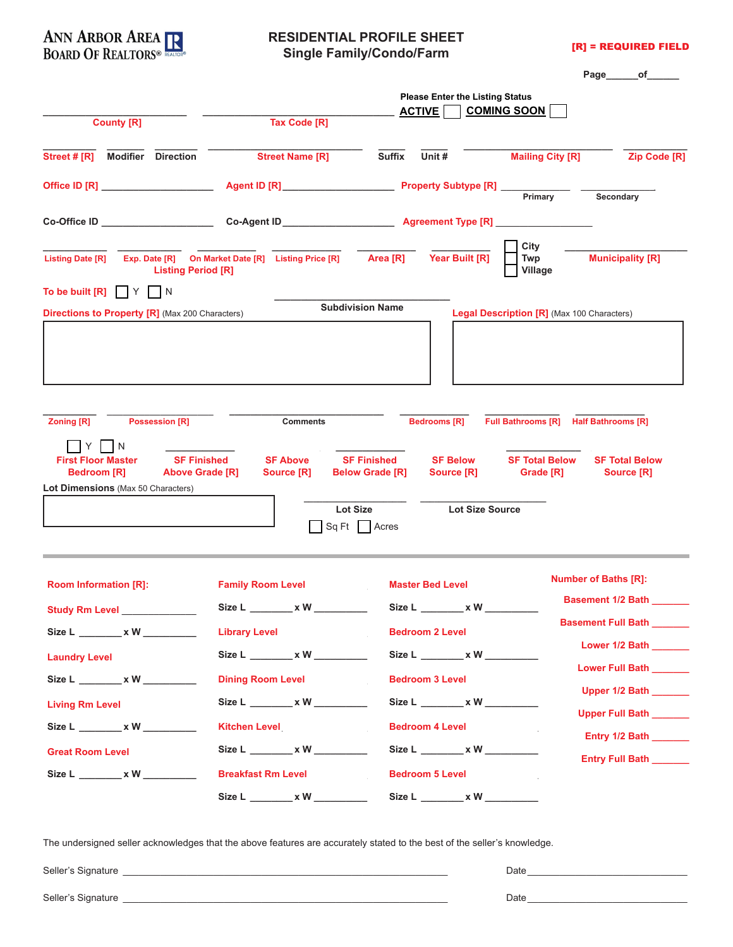

#### **RESIDENTIAL PROFILE SHEET Single Family/Condo/Farm**

[R] = REQUIRED FIELD

|                                                                                                    |                                                                            |                                                                          | Page<br>of the contract of the contract of the contract of the contract of the contract of the contract of the contract of the contract of the contract of the contract of the contract of the contract of the contract of the contrac |
|----------------------------------------------------------------------------------------------------|----------------------------------------------------------------------------|--------------------------------------------------------------------------|----------------------------------------------------------------------------------------------------------------------------------------------------------------------------------------------------------------------------------------|
|                                                                                                    |                                                                            | <b>Please Enter the Listing Status</b>                                   |                                                                                                                                                                                                                                        |
| <b>County [R]</b>                                                                                  | <b>Tax Code [R]</b>                                                        | <b>COMING SOON</b><br><b>ACTIVE</b>                                      |                                                                                                                                                                                                                                        |
| Street # [R]<br><b>Modifier Direction</b>                                                          | <b>Street Name [R]</b>                                                     | <b>Suffix</b><br>Unit #                                                  | <b>Mailing City [R]</b><br><b>Zip Code [R]</b>                                                                                                                                                                                         |
| Office ID [R] ____________________                                                                 |                                                                            |                                                                          | Primary<br>Secondary                                                                                                                                                                                                                   |
|                                                                                                    |                                                                            |                                                                          | $\blacktriangledown$                                                                                                                                                                                                                   |
| <b>Listing Date [R]</b><br><b>Listing Period [R]</b><br>To be built [R]<br>IIY<br>I N              | Exp. Date [R] On Market Date [R] Listing Price [R] Area [R] Year Built [R] |                                                                          | City<br><b>Municipality [R]</b><br>Twp<br>Village                                                                                                                                                                                      |
|                                                                                                    |                                                                            | <b>Subdivision Name</b>                                                  |                                                                                                                                                                                                                                        |
| <b>Directions to Property [R]</b> (Max 200 Characters)                                             |                                                                            |                                                                          | <b>Legal Description [R]</b> (Max 100 Characters)                                                                                                                                                                                      |
|                                                                                                    |                                                                            |                                                                          |                                                                                                                                                                                                                                        |
| <b>Possession [R]</b><br><b>Zoning [R]</b><br>N<br><b>SF Finished</b><br><b>First Floor Master</b> | <b>Comments</b><br><b>SF Above</b>                                         | <b>Bedrooms [R]</b><br><b>SF Finished</b><br><b>SF Below</b>             | Full Bathrooms [R] Half Bathrooms [R]<br><b>SF Total Below</b><br><b>SF Total Below</b>                                                                                                                                                |
| <b>Bedroom [R]</b><br><b>Above Grade [R]</b>                                                       | Source [R]                                                                 | <b>Below Grade [R]</b><br>Source [R]                                     | Grade [R]<br><b>Source [R]</b>                                                                                                                                                                                                         |
| <b>Lot Dimensions</b> (Max 50 Characters)                                                          | <b>Lot Size</b>                                                            | <b>Lot Size Source</b>                                                   |                                                                                                                                                                                                                                        |
|                                                                                                    | Sq Ft   Acres                                                              |                                                                          |                                                                                                                                                                                                                                        |
| <b>Room Information [R]:</b>                                                                       | <b>Family Room Level</b>                                                   | <b>Master Bed Level</b>                                                  | <b>Number of Baths [R]:</b>                                                                                                                                                                                                            |
|                                                                                                    |                                                                            |                                                                          | Basement 1/2 Bath ______                                                                                                                                                                                                               |
| Size L ________ x W ________                                                                       | Size L _______ x W _____<br>Library Level <b>Library</b>                   | Size L ________ x W _____<br>$\vert \textbf{r} \vert$<br>Bedroom 2 Level | $\left  \cdot \right $<br>Basement Full Bath ______                                                                                                                                                                                    |
| <b>Laundry Level Laundry Level</b>                                                                 | Size L _______ x W _______                                                 | Size L ________ x W _______                                              | Lower 1/2 Bath _______                                                                                                                                                                                                                 |
| Size L ________ x W ___________                                                                    | Dining Room Level                                                          | Bedroom 3 Level _______                                                  | Lower Full Bath ______                                                                                                                                                                                                                 |
| $ \mathbf{\texttt{r}} $<br><b>Living Rm Level</b>                                                  | Size L ________ x W _______                                                | Size L ________ x W _______                                              | Upper 1/2 Bath ______                                                                                                                                                                                                                  |
|                                                                                                    | Kitchen Level <b>Kitchen</b>                                               | Bedroom 4 Level _________                                                | Upper Full Bath ______<br>Entry 1/2 Bath _______                                                                                                                                                                                       |
| <b>Great Room Level</b>                                                                            | Size L ________ x W _______                                                | Size L ________ x W _______                                              | Entry Full Bath _______                                                                                                                                                                                                                |
| Size L ________ x W _________                                                                      | Breakfast Rm Level <b>V</b>                                                | <b>Bedroom 5 Level</b>                                                   |                                                                                                                                                                                                                                        |
|                                                                                                    | Size L ________ x W _________                                              | Size L ________ x W _________                                            |                                                                                                                                                                                                                                        |

The undersigned seller acknowledges that the above features are accurately stated to the best of the seller's knowledge.

Seller's Signature \_\_\_\_\_\_\_\_\_\_\_\_\_\_\_\_\_\_\_\_\_\_\_\_\_\_\_\_\_\_\_\_\_\_\_\_\_\_\_\_\_\_\_\_\_\_\_\_\_\_\_\_\_\_\_\_\_\_\_\_\_ Date \_\_\_\_\_\_\_\_\_\_\_\_\_\_\_\_\_\_\_\_\_\_\_\_\_\_\_\_\_\_  $Date$   $_$ 

| Seller's Signature |
|--------------------|
|                    |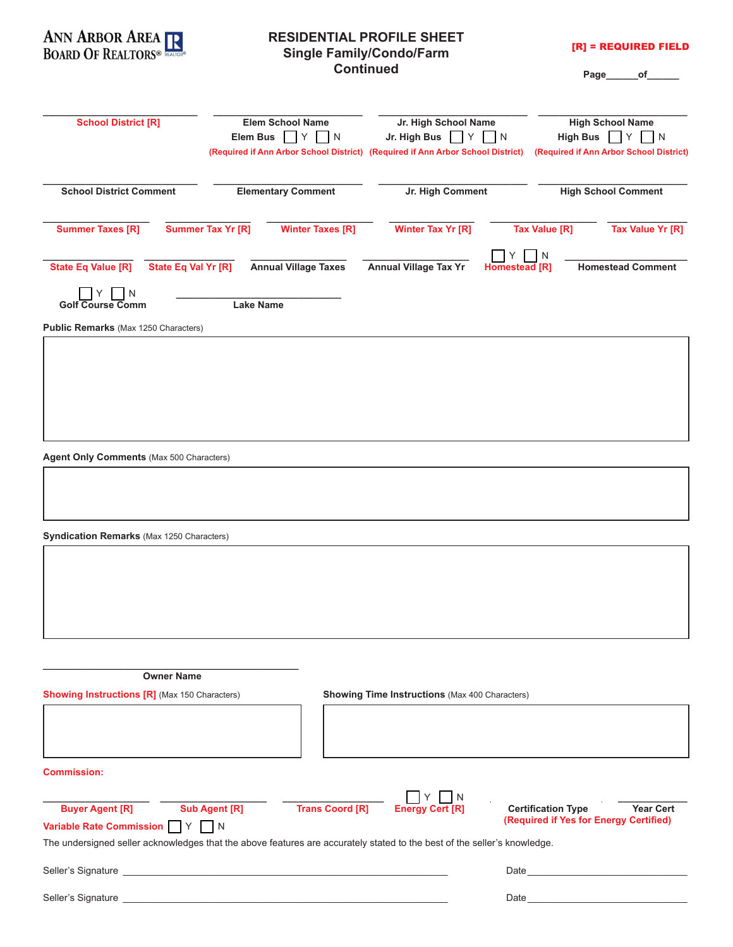

### **RESIDENTIAL PROFILE SHEET Single Family/Condo/Farm Continued**

[R] = REQUIRED FIELD

**Page\_\_\_\_\_\_of\_\_\_\_\_\_**

| <b>School District [R]</b>                                                            | Elem School Name<br>$\prod Y$<br>Elem Bus<br>$\vert N$<br>(Required if Ann Arbor School District) (Required if Ann Arbor School District)                                       | Jr. High School Name<br>Jr. High Bus                  | $\vert$ Y $\vert$ N | <b>High School Name</b><br><b>High Bus</b><br>$Y$    N<br>(Required if Ann Arbor School District) |
|---------------------------------------------------------------------------------------|---------------------------------------------------------------------------------------------------------------------------------------------------------------------------------|-------------------------------------------------------|---------------------|---------------------------------------------------------------------------------------------------|
| <b>School District Comment</b>                                                        | <b>Elementary Comment</b>                                                                                                                                                       | Jr. High Comment                                      |                     | <b>High School Comment</b>                                                                        |
| <b>Summer Taxes [R]</b>                                                               | Summer Tax Yr [R]<br><b>Winter Taxes [R]</b>                                                                                                                                    | <b>Winter Tax Yr [R]</b>                              |                     | <b>Tax Value [R]</b><br>Tax Value Yr [R]                                                          |
| <b>State Eq Value [R]</b><br>State Eq Val Yr [R]                                      | <b>Annual Village Taxes</b>                                                                                                                                                     | <b>Annual Village Tax Yr</b>                          | Homestead [R]       | N<br><b>Homestead Comment</b>                                                                     |
| N<br><b>Golf Course Comm</b>                                                          | <b>Lake Name</b>                                                                                                                                                                |                                                       |                     |                                                                                                   |
| Public Remarks (Max 1250 Characters)                                                  |                                                                                                                                                                                 |                                                       |                     |                                                                                                   |
| Agent Only Comments (Max 500 Characters)<br>Syndication Remarks (Max 1250 Characters) |                                                                                                                                                                                 |                                                       |                     |                                                                                                   |
|                                                                                       |                                                                                                                                                                                 |                                                       |                     |                                                                                                   |
| <b>Owner Name</b>                                                                     |                                                                                                                                                                                 |                                                       |                     |                                                                                                   |
| <b>Showing Instructions [R]</b> (Max 150 Characters)                                  |                                                                                                                                                                                 | <b>Showing Time Instructions (Max 400 Characters)</b> |                     |                                                                                                   |
|                                                                                       |                                                                                                                                                                                 |                                                       |                     |                                                                                                   |
| <b>Commission:</b>                                                                    |                                                                                                                                                                                 |                                                       |                     |                                                                                                   |
| <b>Buyer Agent [R]</b><br><b>Variable Rate Commission</b><br>$\mathsf{I}$ Y           | <b>Sub Agent [R]</b><br><b>Trans Coord [R]</b><br>N<br>The undersigned seller acknowledges that the above features are accurately stated to the best of the seller's knowledge. | <b>Energy Cert [R]</b>                                |                     | <b>Certification Type</b><br><b>Year Cert</b><br>(Required if Yes for Energy Certified)           |
| Seller's Signature                                                                    |                                                                                                                                                                                 |                                                       | Date                |                                                                                                   |

Seller's Signature \_\_\_\_\_\_\_\_\_\_\_\_\_\_\_\_\_\_\_\_\_\_\_\_\_\_\_\_\_\_\_\_\_\_\_\_\_\_\_\_\_\_\_\_\_\_\_\_\_\_\_\_\_\_\_\_\_\_\_\_\_ Date \_\_\_\_\_\_\_\_\_\_\_\_\_\_\_\_\_\_\_\_\_\_\_\_\_\_\_\_\_\_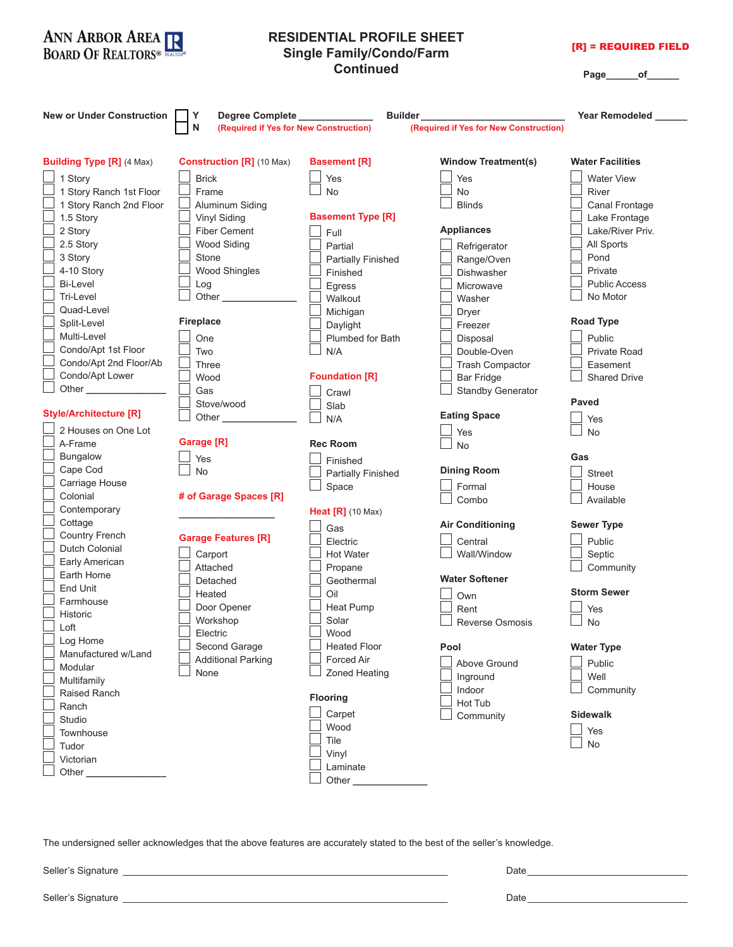

The undersigned seller acknowledges that the above features are accurately stated to the best of the seller's knowledge.

Seller's Signature **Date 20 and 20 and 20 and 20 and 20 and 20 and 20 and 20 and 20 and 20 and 20 and 20 and 20 and 20 and 20 and 20 and 20 and 20 and 20 and 20 and 20 and 20 and 20 and 20 and 20 and 20 and 20 and 20 and 2** 

Seller's Signature **Date 20 and 20 and 20 and 20 and 20 and 20 and 20 and 20 and 20 and 20 and 20 and 20 and 20 and 20 and 20 and 20 and 20 and 20 and 20 and 20 and 20 and 20 and 20 and 20 and 20 and 20 and 20 and 20 and 2**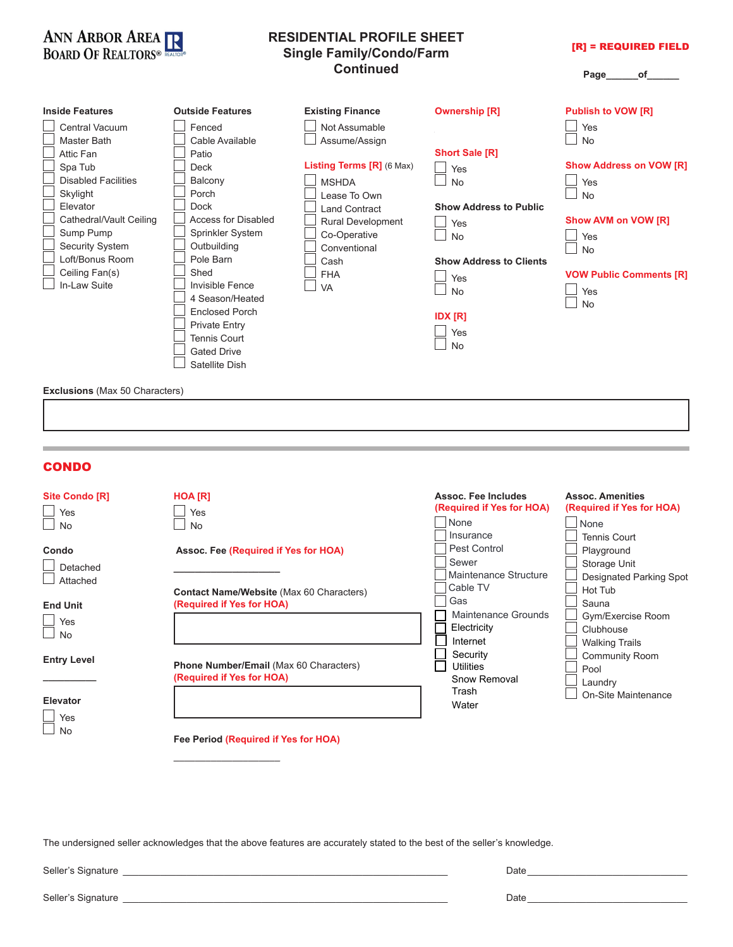

#### **RESIDENTIAL PROFILE SHEET Single Family/Condo/Farm Continued**

[R] = REQUIRED FIELD

**Page\_\_\_\_\_\_of\_\_\_\_\_\_**

| <b>Inside Features</b>                                                                                                                                                                                                                    | <b>Outside Features</b>                                                                                                                                                                                              | <b>Existing Finance</b>                                                                                                                                                                                            | <b>Ownership [R]</b>                                                                                                                                                                           | <b>Publish to VOW [R]</b>                                                                                                                                               |
|-------------------------------------------------------------------------------------------------------------------------------------------------------------------------------------------------------------------------------------------|----------------------------------------------------------------------------------------------------------------------------------------------------------------------------------------------------------------------|--------------------------------------------------------------------------------------------------------------------------------------------------------------------------------------------------------------------|------------------------------------------------------------------------------------------------------------------------------------------------------------------------------------------------|-------------------------------------------------------------------------------------------------------------------------------------------------------------------------|
| Central Vacuum<br><b>Master Bath</b><br>Attic Fan<br>Spa Tub<br><b>Disabled Facilities</b><br>Skylight<br>Elevator<br>Cathedral/Vault Ceiling<br>Sump Pump<br><b>Security System</b><br>Loft/Bonus Room<br>Ceiling Fan(s)<br>In-Law Suite | Fenced<br>Cable Available<br>Patio<br>Deck<br>Balcony<br>Porch<br>Dock<br>Access for Disabled<br>Sprinkler System<br>Outbuilding<br>Pole Barn<br>Shed<br>Invisible Fence<br>4 Season/Heated<br><b>Enclosed Porch</b> | Not Assumable<br>Assume/Assign<br>Listing Terms [R] (6 Max)<br><b>MSHDA</b><br>Lease To Own<br><b>Land Contract</b><br><b>Rural Development</b><br>Co-Operative<br>Conventional<br>Cash<br><b>FHA</b><br><b>VA</b> | $\blacktriangledown$<br><b>Short Sale [R]</b><br>Yes<br><b>No</b><br><b>Show Address to Public</b><br>Yes<br><b>No</b><br><b>Show Address to Clients</b><br>Yes<br><b>No</b><br><b>IDX</b> [R] | Yes<br><b>No</b><br><b>Show Address on VOW [R]</b><br>Yes<br><b>No</b><br>Show AVM on VOW [R]<br>Yes<br><b>No</b><br><b>VOW Public Comments [R]</b><br>Yes<br><b>No</b> |
|                                                                                                                                                                                                                                           | <b>Private Entry</b><br><b>Tennis Court</b><br><b>Gated Drive</b><br>Satellite Dish                                                                                                                                  |                                                                                                                                                                                                                    | Yes<br><b>No</b>                                                                                                                                                                               |                                                                                                                                                                         |
| <b>Exclusions</b> (Max 50 Characters)                                                                                                                                                                                                     |                                                                                                                                                                                                                      |                                                                                                                                                                                                                    |                                                                                                                                                                                                |                                                                                                                                                                         |

### CONDO

| <b>Site Condo [R]</b><br>Yes<br><b>No</b> | HOA [R]<br>Yes<br><b>No</b>                                                  | Assoc. Fee Includes<br>(Required if Yes for HOA)<br>None<br>Insurance | <b>Assoc. Amenities</b><br>(Required if Yes for HOA)<br>None<br><b>Tennis Court</b> |
|-------------------------------------------|------------------------------------------------------------------------------|-----------------------------------------------------------------------|-------------------------------------------------------------------------------------|
| Condo<br>Detached                         | Assoc. Fee (Required if Yes for HOA)                                         | Pest Control<br>Sewer<br>Maintenance Structure                        | Playground<br>Storage Unit<br>Designated Parking Spot                               |
| Attached<br><b>End Unit</b>               | <b>Contact Name/Website (Max 60 Characters)</b><br>(Required if Yes for HOA) | Cable TV<br>Gas<br>Maintenance Grounds                                | Hot Tub<br>Sauna                                                                    |
| Yes<br><b>No</b>                          |                                                                              | Electricity<br>Internet                                               | Gym/Exercise Room<br>Clubhouse<br><b>Walking Trails</b>                             |
| <b>Entry Level</b>                        | Phone Number/Email (Max 60 Characters)<br>(Required if Yes for HOA)          | Security<br><b>Utilities</b><br>Snow Removal                          | <b>Community Room</b><br>Pool<br>Laundry                                            |
| Elevator<br>Yes                           |                                                                              | Trash<br>Water                                                        | On-Site Maintenance                                                                 |
| <b>No</b>                                 | Fee Period (Required if Yes for HOA)                                         |                                                                       |                                                                                     |

The undersigned seller acknowledges that the above features are accurately stated to the best of the seller's knowledge.

Seller's Signature **Law and Contract and Contract and Contract and Contract and Contract and Contract and Contract and Contract and Contract and Contract and Contract and Contract and Contract and Contract and Contract and** 

|  | Seller's Signature |
|--|--------------------|
|--|--------------------|

 $Date \_$